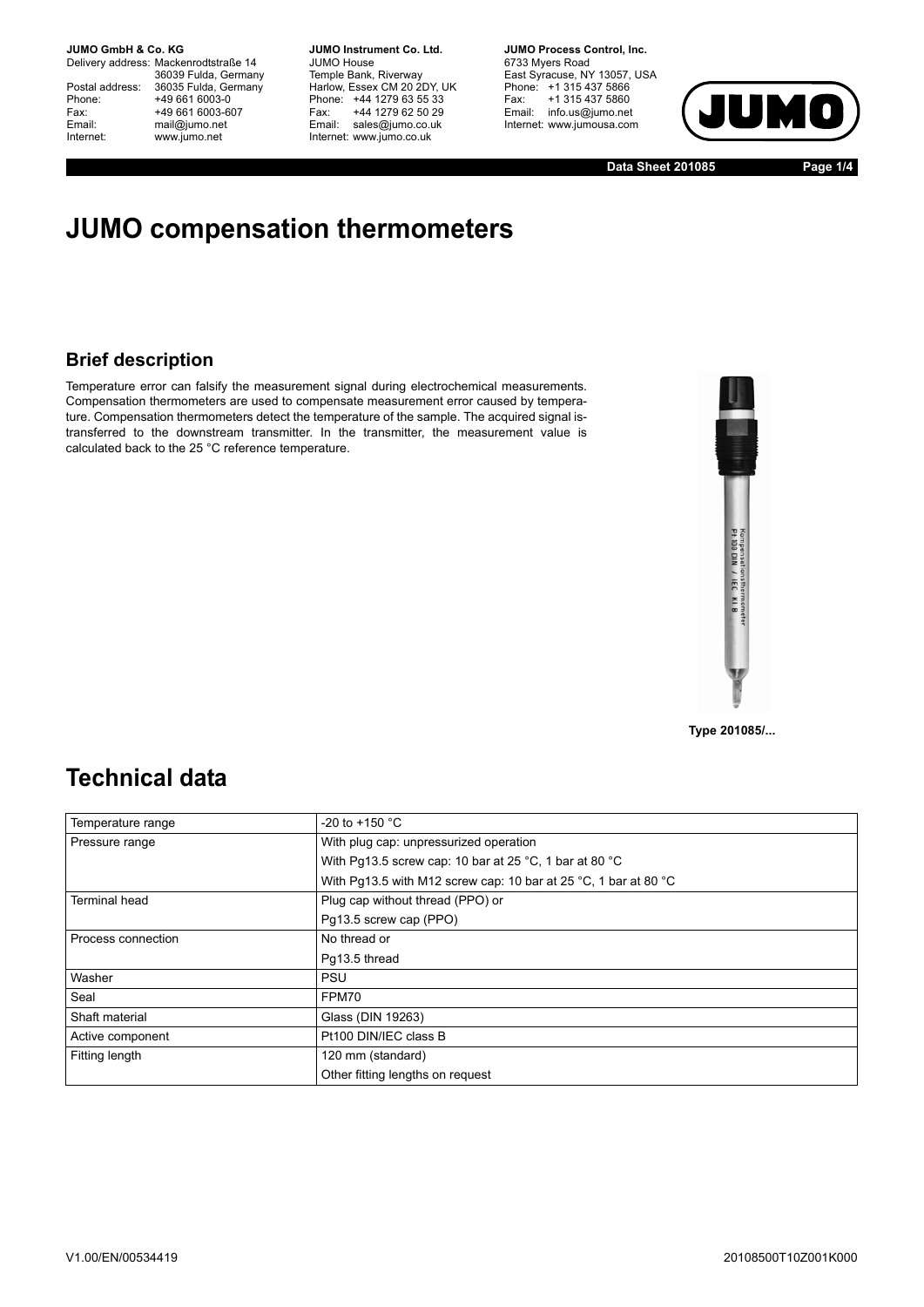Delivery address: Mackenrodtstraße 14 36039 Fulda, Germany Postal address: 36035 Fulda, Germany Phone: +49 661 6003-0<br>
Fax: +49 661 6003-6<br>
Email: mail@jumo.net +49 661 6003-607 mail@jumo.net Internet: www.jumo.net

**JUMO Instrument Co. Ltd.** JUMO House Temple Bank, Riverway Harlow, Essex CM 20 2DY, UK Phone: +44 1279 63 55 33 Fax: +44 1279 62 50 29 Email: sales@jumo.co.uk Internet: www.jumo.co.uk

**JUMO Process Control, Inc.** 6733 Myers Road East Syracuse, NY 13057, USA Phone: +1 315 437 5866 Fax: +1 315 437 5860 Email: info.us@jumo.net Internet: www.jumousa.com



**Data Sheet 201085 Page 1/4**

# **JUMO compensation thermometers**

### **Brief description**

Temperature error can falsify the measurement signal during electrochemical measurements. Compensation thermometers are used to compensate measurement error caused by temperature. Compensation thermometers detect the temperature of the sample. The acquired signal istransferred to the downstream transmitter. In the transmitter, the measurement value is calculated back to the 25 °C reference temperature.



**Type 201085/...**

## **Technical data**

| Temperature range    | -20 to +150 $^{\circ}$ C                                        |  |  |  |
|----------------------|-----------------------------------------------------------------|--|--|--|
| Pressure range       | With plug cap: unpressurized operation                          |  |  |  |
|                      | With Pq13.5 screw cap: 10 bar at 25 °C, 1 bar at 80 °C          |  |  |  |
|                      | With Pg13.5 with M12 screw cap: 10 bar at 25 °C, 1 bar at 80 °C |  |  |  |
| <b>Terminal head</b> | Plug cap without thread (PPO) or                                |  |  |  |
|                      | Pg13.5 screw cap (PPO)                                          |  |  |  |
| Process connection   | No thread or                                                    |  |  |  |
|                      | Pq13.5 thread                                                   |  |  |  |
| Washer               | <b>PSU</b>                                                      |  |  |  |
| Seal                 | FPM70                                                           |  |  |  |
| Shaft material       | Glass (DIN 19263)                                               |  |  |  |
| Active component     | Pt100 DIN/IEC class B                                           |  |  |  |
| Fitting length       | 120 mm (standard)                                               |  |  |  |
|                      | Other fitting lengths on request                                |  |  |  |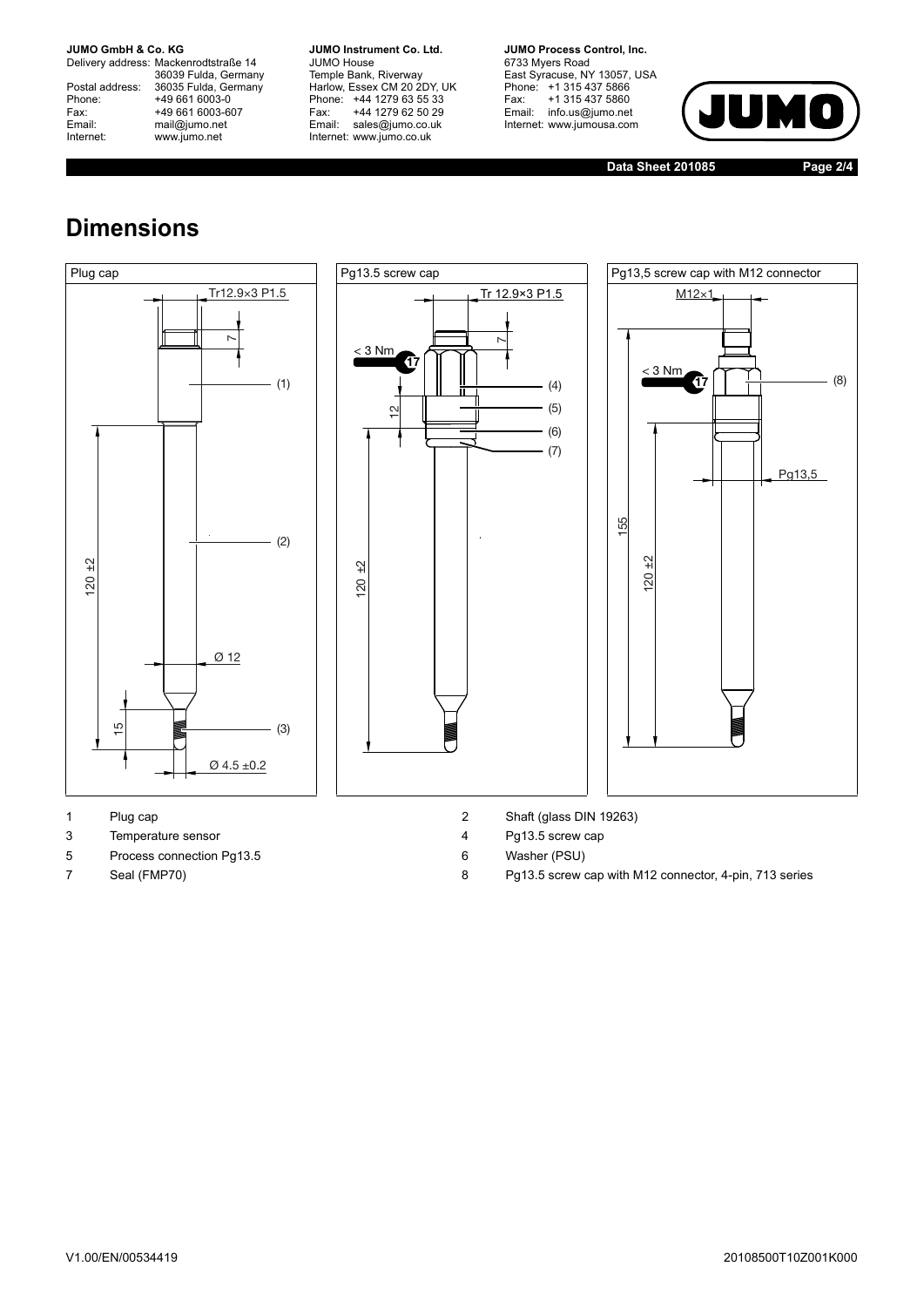Delivery address: Mackenrodtstraße 14 36039 Fulda, Germany Postal address: 36035 Fulda, Germany Postal address: 36035 Fulda, Ge<br>
Phone: +49 661 6003-0<br>
Fax: +49 661 6003-6<br>
Email: mail@jumo.net +49 661 6003-607 mail@jumo.net Internet: www.jumo.net

**JUMO Instrument Co. Ltd.** JUMO House Temple Bank, Riverway Harlow, Essex CM 20 2DY, UK Phone: +44 1279 63 55 33 Fax: +44 1279 62 50 29 Email: sales@jumo.co.uk Internet: www.jumo.co.uk

**JUMO Process Control, Inc.** 6733 Myers Road East Syracuse, NY 13057, USA Phone: +1 315 437 5866 Fax: +1 315 437 5860 Email: info.us@jumo.net Internet: www.jumousa.com



**Data Sheet 201085 Page 2/4**

# **Dimensions**







- 
- 3 Temperature sensor 4 Pg13.5 screw cap
- 5 Process connection Pg13.5 6 Washer (PSU)
- 
- 1 Plug cap 2 Shaft (glass DIN 19263)
	-
	-
- 7 Seal (FMP70) 8 Pg13.5 screw cap with M12 connector, 4-pin, 713 series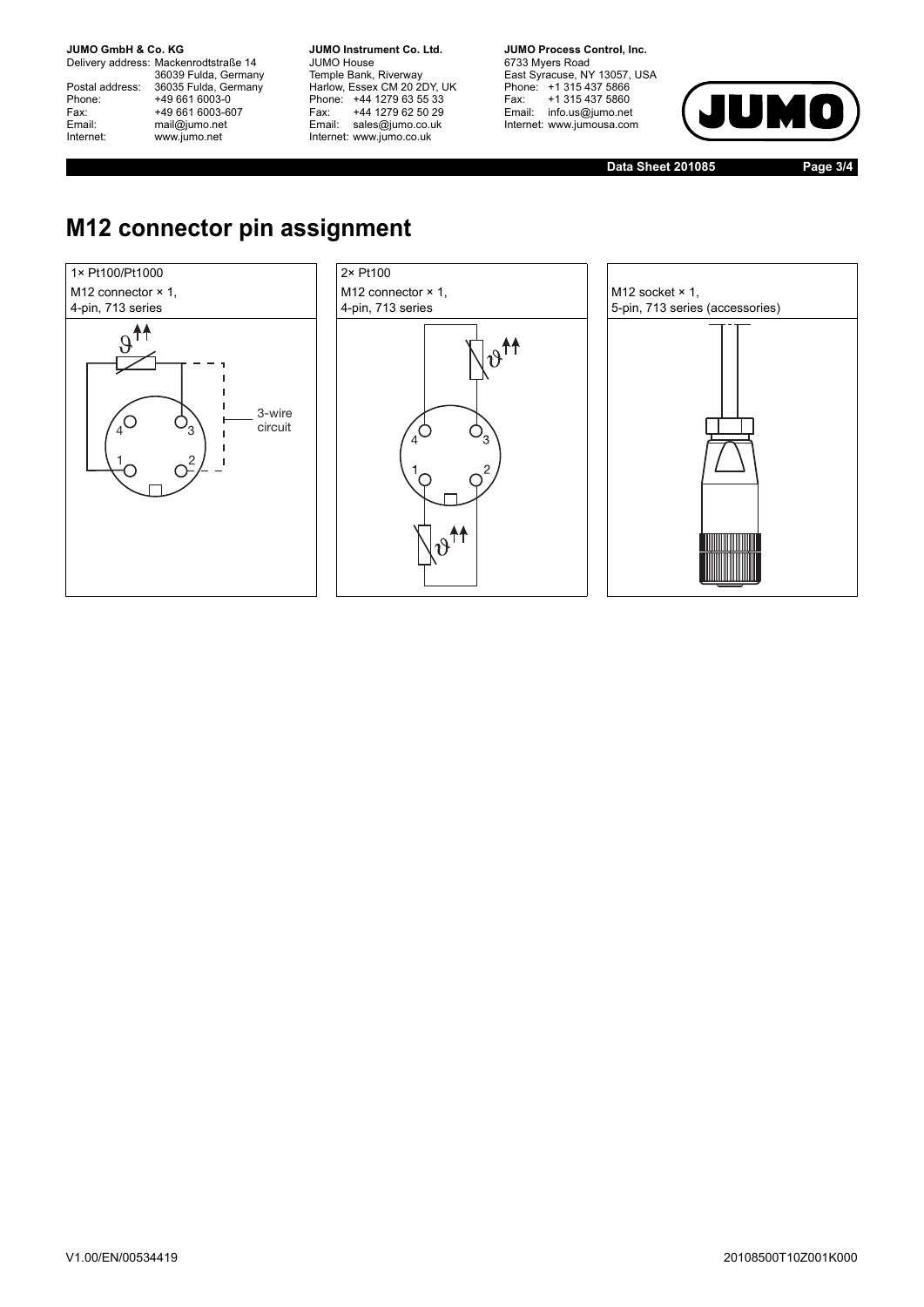Delivery address: Mackenrodtstraße 14 36039 Fulda, Germany Postal address: 36035 Fulda, Germany Postal address: 36035 Fulda, Ge<br>
Phone: +49 661 6003-0<br>
Fax: +49 661 6003-6<br>
Email: mail@jumo.net +49 661 6003-607 mail@jumo.net Internet: www.jumo.net

**JUMO Instrument Co. Ltd.** JUMO House Temple Bank, Riverway Harlow, Essex CM 20 2DY, UK Phone: +44 1279 63 55 33 Fax: +44 1279 62 50 29 Email: sales@jumo.co.uk Internet: www.jumo.co.uk

**JUMO Process Control, Inc.** 6733 Myers Road East Syracuse, NY 13057, USA Phone: +1 315 437 5866 Fax: +1 315 437 5860 Email: info.us@jumo.net Internet: www.jumousa.com



**Data Sheet 201085 Page 3/4**

# **M12 connector pin assignment**